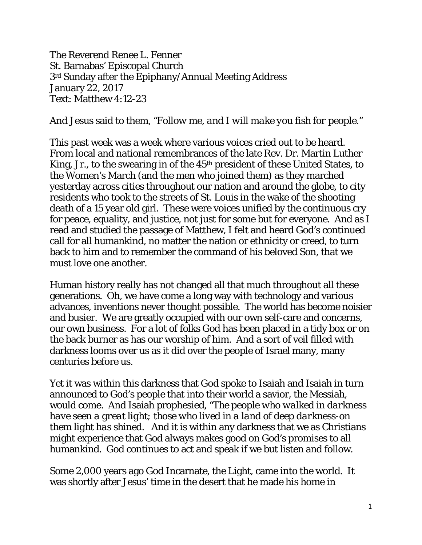The Reverend Renee L. Fenner St. Barnabas' Episcopal Church 3rd Sunday after the Epiphany/Annual Meeting Address January 22, 2017 Text: Matthew 4:12-23

And Jesus said to them, *"Follow me, and I will make you fish for people."* 

This past week was a week where various voices cried out to be heard. From local and national remembrances of the late Rev. Dr. Martin Luther King, Jr., to the swearing in of the 45th president of these United States, to the Women's March (and the men who joined them) as they marched yesterday across cities throughout our nation and around the globe, to city residents who took to the streets of St. Louis in the wake of the shooting death of a 15 year old girl. These were voices unified by the continuous cry for peace, equality, and justice, not just for some but for everyone. And as I read and studied the passage of Matthew, I felt and heard God's continued call for all humankind, no matter the nation or ethnicity or creed, to turn back to him and to remember the command of his beloved Son, that we must love one another.

Human history really has not changed all that much throughout all these generations. Oh, we have come a long way with technology and various advances, inventions never thought possible. The world has become noisier and busier. We are greatly occupied with our own self-care and concerns, our own business. For a lot of folks God has been placed in a tidy box or on the back burner as has our worship of him. And a sort of veil filled with darkness looms over us as it did over the people of Israel many, many centuries before us.

Yet it was within this darkness that God spoke to Isaiah and Isaiah in turn announced to God's people that into their world a savior, *the* Messiah, would come. And Isaiah prophesied, *"The people who walked in darkness have seen a great light; those who lived in a land of deep darkness-on them light has shined.* And it is within any darkness that we as Christians might experience that God always makes good on God's promises to all humankind. God continues to act and speak if we but listen and follow.

Some 2,000 years ago God Incarnate, the Light, came into the world. It was shortly after Jesus' time in the desert that he made his home in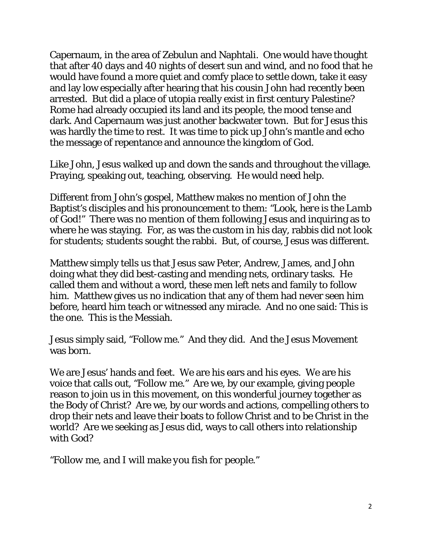Capernaum, in the area of Zebulun and Naphtali. One would have thought that after 40 days and 40 nights of desert sun and wind, and no food that he would have found a more quiet and comfy place to settle down, take it easy and lay low especially after hearing that his cousin John had recently been arrested. But did a place of utopia really exist in first century Palestine? Rome had already occupied its land and its people, the mood tense and dark. And Capernaum was just another backwater town. But for Jesus this was hardly the time to rest. It was time to pick up John's mantle and echo the message of repentance and announce the kingdom of God.

Like John, Jesus walked up and down the sands and throughout the village. Praying, speaking out, teaching, observing. He would need help.

Different from John's gospel, Matthew makes no mention of John the Baptist's disciples and his pronouncement to them: *"Look, here is the Lamb of God!"* There was no mention of them following Jesus and inquiring as to where he was staying. For, as was the custom in his day, rabbis did not look for students; students sought the rabbi. But, of course, Jesus was different.

Matthew simply tells us that Jesus saw Peter, Andrew, James, and John doing what they did best-casting and mending nets, ordinary tasks. He called them and without a word, these men left nets and family to follow him. Matthew gives us no indication that any of them had never seen him before, heard him teach or witnessed any miracle. And no one said: This is the one. This is the Messiah.

Jesus simply said, "Follow me." And they did. And the Jesus Movement was born.

We are Jesus' hands and feet. We are his ears and his eyes. We are his voice that calls out, *"Follow me."* Are we, by our example, giving people reason to join us in this movement, on this wonderful journey together as the Body of Christ? Are we, by our words and actions, compelling others to drop their nets and leave their boats to follow Christ and to be Christ in the world? Are we seeking as Jesus did, ways to call others into relationship with God?

*"Follow me, and I will make you fish for people."*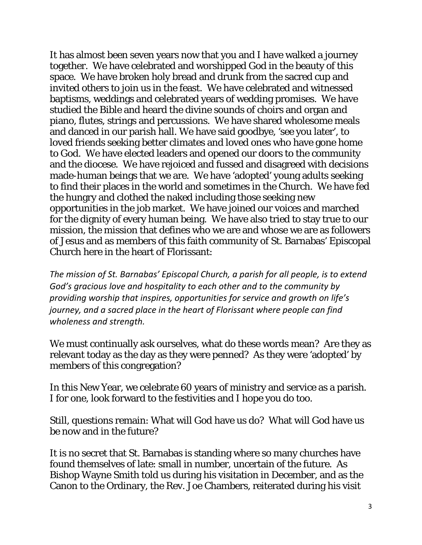It has almost been seven years now that you and I have walked a journey together. We have celebrated and worshipped God in the beauty of this space. We have broken holy bread and drunk from the sacred cup and invited others to join us in the feast. We have celebrated and witnessed baptisms, weddings and celebrated years of wedding promises. We have studied the Bible and heard the divine sounds of choirs and organ and piano, flutes, strings and percussions. We have shared wholesome meals and danced in our parish hall. We have said goodbye, 'see you later', to loved friends seeking better climates and loved ones who have gone home to God. We have elected leaders and opened our doors to the community and the diocese. We have rejoiced and fussed and disagreed with decisions made-human beings that we are. We have 'adopted' young adults seeking to find their places in the world and sometimes in the Church. We have fed the hungry and clothed the naked including those seeking new opportunities in the job market. We have joined our voices and marched for the dignity of every human being. We have also tried to stay true to our mission, the mission that defines who we are and whose we are as followers of Jesus and as members of this faith community of St. Barnabas' Episcopal Church here in the heart of Florissant:

*The mission of St. Barnabas' Episcopal Church, a parish for all people, is to extend God's gracious love and hospitality to each other and to the community by providing worship that inspires, opportunities for service and growth on life's journey, and a sacred place in the heart of Florissant where people can find wholeness and strength.*

We must continually ask ourselves, what do these words mean? Are they as relevant today as the day as they were penned? As they were 'adopted' by members of this congregation?

In this New Year, we celebrate 60 years of ministry and service as a parish. I for one, look forward to the festivities and I hope you do too.

Still, questions remain: What will God have us do? What will God have us *be* now and in the future?

It is no secret that St. Barnabas is standing where so many churches have found themselves of late: small in number, uncertain of the future. As Bishop Wayne Smith told us during his visitation in December, and as the Canon to the Ordinary, the Rev. Joe Chambers, reiterated during his visit